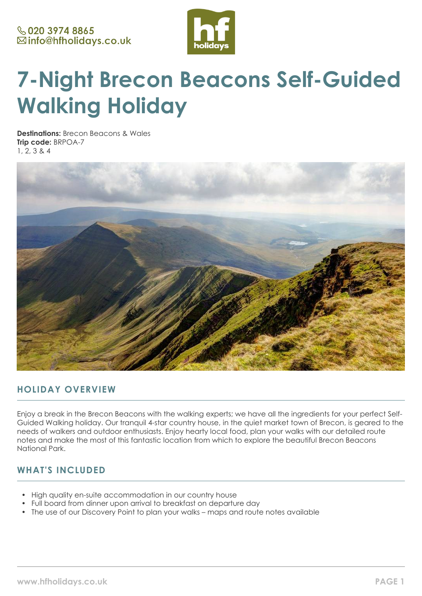

# **7-Night Brecon Beacons Self-Guided Walking Holiday**

**Destinations:** Brecon Beacons & Wales **Trip code:** BRPOA-7 1, 2, 3 & 4



# **HOLIDAY OVERVIEW**

Enjoy a break in the Brecon Beacons with the walking experts; we have all the ingredients for your perfect Self-Guided Walking holiday. Our tranquil 4-star country house, in the quiet market town of Brecon, is geared to the needs of walkers and outdoor enthusiasts. Enjoy hearty local food, plan your walks with our detailed route notes and make the most of this fantastic location from which to explore the beautiful Brecon Beacons National Park.

# **WHAT'S INCLUDED**

- High quality en-suite accommodation in our country house
- Full board from dinner upon arrival to breakfast on departure day
- The use of our Discovery Point to plan your walks maps and route notes available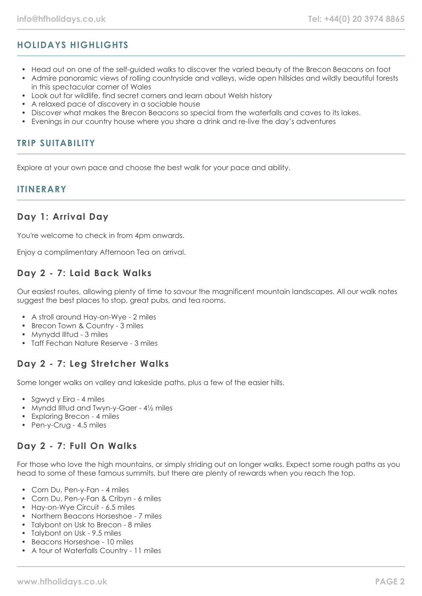# **HOLIDAYS HIGHLIGHTS**

- Head out on one of the self-guided walks to discover the varied beauty of the Brecon Beacons on foot
- Admire panoramic views of rolling countryside and valleys, wide open hillsides and wildly beautiful forests in this spectacular corner of Wales
- Look out for wildlife, find secret corners and learn about Welsh history
- A relaxed pace of discovery in a sociable house
- Discover what makes the Brecon Beacons so special from the waterfalls and caves to its lakes.
- Evenings in our country house where you share a drink and re-live the day's adventures

## **TRIP SUITABILITY**

Explore at your own pace and choose the best walk for your pace and ability.

## **ITINERARY**

## **Day 1: Arrival Day**

You're welcome to check in from 4pm onwards.

Enjoy a complimentary Afternoon Tea on arrival.

## **Day 2 - 7: Laid Back Walks**

Our easiest routes, allowing plenty of time to savour the magnificent mountain landscapes. All our walk notes suggest the best places to stop, great pubs, and tea rooms.

- A stroll around Hay-on-Wye 2 miles
- Brecon Town & Country 3 miles
- Mynydd IIItud 3 miles
- Taff Fechan Nature Reserve 3 miles

## **Day 2 - 7: Leg Stretcher Walks**

Some longer walks on valley and lakeside paths, plus a few of the easier hills.

- Sgwyd y Eira 4 miles
- Myndd IIItud and Twyn-y-Gaer 41/2 miles
- Exploring Brecon 4 miles
- Pen-y-Crug 4.5 miles

# **Day 2 - 7: Full On Walks**

For those who love the high mountains, or simply striding out on longer walks. Expect some rough paths as you head to some of these famous summits, but there are plenty of rewards when you reach the top.

- Corn Du, Pen-y-Fan 4 miles
- Corn Du, Pen-y-Fan & Cribyn 6 miles
- Hay-on-Wye Circuit 6.5 miles
- Northern Beacons Horseshoe 7 miles
- Talybont on Usk to Brecon 8 miles
- Talybont on Usk 9.5 miles
- Beacons Horseshoe 10 miles
- A tour of Waterfalls Country 11 miles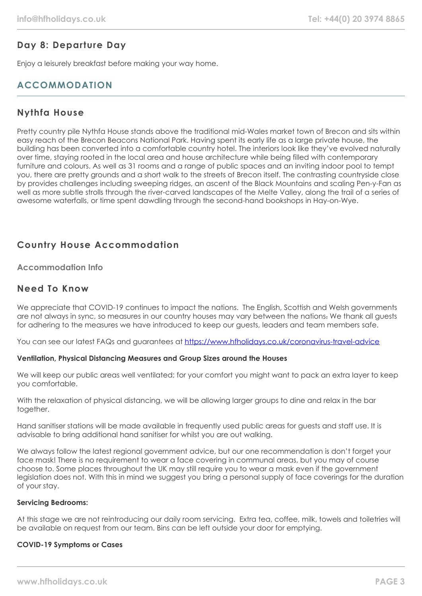# **Day 8: Departure Day**

Enjoy a leisurely breakfast before making your way home.

# **ACCOMMODATION**

## **Nythfa House**

Pretty country pile Nythfa House stands above the traditional mid-Wales market town of Brecon and sits within easy reach of the Brecon Beacons National Park. Having spent its early life as a large private house, the building has been converted into a comfortable country hotel. The interiors look like they've evolved naturally over time, staying rooted in the local area and house architecture while being filled with contemporary furniture and colours. As well as 31 rooms and a range of public spaces and an inviting indoor pool to tempt you, there are pretty grounds and a short walk to the streets of Brecon itself. The contrasting countryside close by provides challenges including sweeping ridges, an ascent of the Black Mountains and scaling Pen-y-Fan as well as more subtle strolls through the river-carved landscapes of the Melte Valley, along the trail of a series of awesome waterfalls, or time spent dawdling through the second-hand bookshops in Hay-on-Wye.

# **Country House Accommodation**

## **Accommodation Info**

## **Need To Know**

We appreciate that COVID-19 continues to impact the nations. The English, Scottish and Welsh governments are not always in sync, so measures in our country houses may vary between the nations. We thank all guests for adhering to the measures we have introduced to keep our guests, leaders and team members safe.

You can see our latest FAQs and guarantees at <https://www.hfholidays.co.uk/coronavirus-travel-advice>

#### **Ventilation, Physical Distancing Measures and Group Sizes around the Houses**

We will keep our public areas well ventilated; for your comfort you might want to pack an extra layer to keep you comfortable.

With the relaxation of physical distancing, we will be allowing larger groups to dine and relax in the bar together.

Hand sanitiser stations will be made available in frequently used public areas for guests and staff use. It is advisable to bring additional hand sanitiser for whilst you are out walking.

We always follow the latest regional government advice, but our one recommendation is don't forget your face mask! There is no requirement to wear a face covering in communal areas, but you may of course choose to. Some places throughout the UK may still require you to wear a mask even if the government legislation does not. With this in mind we suggest you bring a personal supply of face coverings for the duration of your stay.

#### **Servicing Bedrooms:**

At this stage we are not reintroducing our daily room servicing. Extra tea, coffee, milk, towels and toiletries will be available on request from our team. Bins can be left outside your door for emptying.

#### **COVID-19 Symptoms or Cases**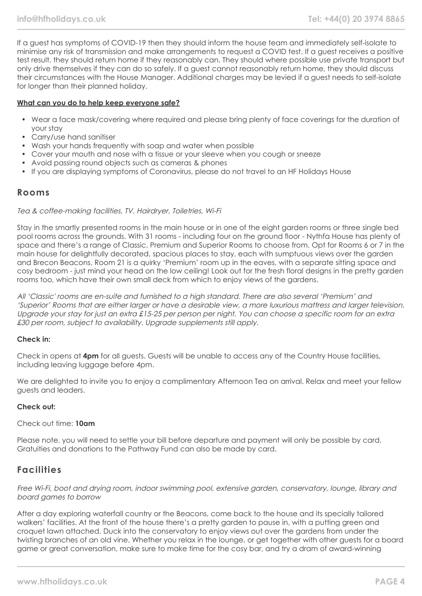If a guest has symptoms of COVID-19 then they should inform the house team and immediately self-isolate to minimise any risk of transmission and make arrangements to request a COVID test. If a guest receives a positive test result, they should return home if they reasonably can. They should where possible use private transport but only drive themselves if they can do so safely. If a guest cannot reasonably return home, they should discuss their circumstances with the House Manager. Additional charges may be levied if a guest needs to self-isolate for longer than their planned holiday.

#### **What can you do to help keep everyone safe?**

- Wear a face mask/covering where required and please bring plenty of face coverings for the duration of your stay
- Carry/use hand sanitiser
- Wash your hands frequently with soap and water when possible
- Cover your mouth and nose with a tissue or your sleeve when you cough or sneeze
- Avoid passing round objects such as cameras & phones
- If you are displaying symptoms of Coronavirus, please do not travel to an HF Holidays House

## **Rooms**

#### Tea & coffee-making facilities, TV, Hairdryer, Toiletries, Wi-Fi

Stay in the smartly presented rooms in the main house or in one of the eight garden rooms or three single bed pool rooms across the grounds. With 31 rooms - including four on the ground floor - Nythfa House has plenty of space and there's a range of Classic, Premium and Superior Rooms to choose from. Opt for Rooms 6 or 7 in the main house for delightfully decorated, spacious places to stay, each with sumptuous views over the garden and Brecon Beacons. Room 21 is a quirky 'Premium' room up in the eaves, with a separate sitting space and cosy bedroom - just mind your head on the low ceiling! Look out for the fresh floral designs in the pretty garden rooms too, which have their own small deck from which to enjoy views of the gardens.

All 'Classic' rooms are en-suite and furnished to a high standard. There are also several 'Premium' and 'Superior' Rooms that are either larger or have a desirable view, a more luxurious mattress and larger television. Upgrade your stay for just an extra £15-25 per person per night. You can choose a specific room for an extra £30 per room, subject to availability. Upgrade supplements still apply.

#### **Check in:**

Check in opens at **4pm** for all guests. Guests will be unable to access any of the Country House facilities, including leaving luggage before 4pm.

We are delighted to invite you to enjoy a complimentary Afternoon Tea on arrival. Relax and meet your fellow guests and leaders.

#### **Check out:**

#### Check out time: **10am**

Please note, you will need to settle your bill before departure and payment will only be possible by card. Gratuities and donations to the Pathway Fund can also be made by card.

## **Facilities**

Free Wi-Fi, boot and drying room, indoor swimming pool, extensive garden, conservatory, lounge, library and board games to borrow

After a day exploring waterfall country or the Beacons, come back to the house and its specially tailored walkers' facilities. At the front of the house there's a pretty garden to pause in, with a putting green and croquet lawn attached. Duck into the conservatory to enjoy views out over the gardens from under the twisting branches of an old vine. Whether you relax in the lounge, or get together with other guests for a board game or great conversation, make sure to make time for the cosy bar, and try a dram of award-winning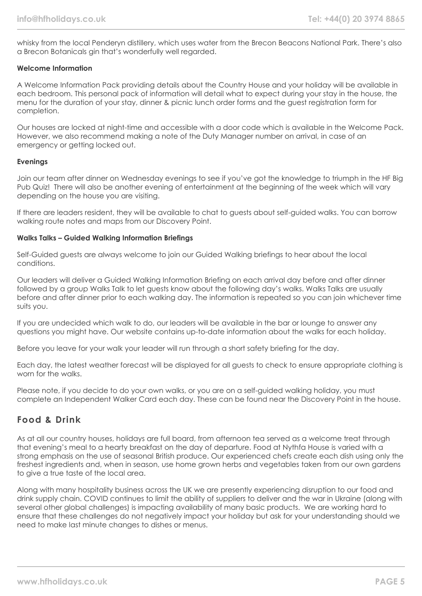whisky from the local Penderyn distillery, which uses water from the Brecon Beacons National Park. There's also a Brecon Botanicals gin that's wonderfully well regarded.

#### **Welcome Information**

A Welcome Information Pack providing details about the Country House and your holiday will be available in each bedroom. This personal pack of information will detail what to expect during your stay in the house, the menu for the duration of your stay, dinner & picnic lunch order forms and the guest registration form for completion.

Our houses are locked at night-time and accessible with a door code which is available in the Welcome Pack. However, we also recommend making a note of the Duty Manager number on arrival, in case of an emergency or getting locked out.

#### **Evenings**

Join our team after dinner on Wednesday evenings to see if you've got the knowledge to triumph in the HF Big Pub Quiz! There will also be another evening of entertainment at the beginning of the week which will vary depending on the house you are visiting.

If there are leaders resident, they will be available to chat to guests about self-guided walks. You can borrow walking route notes and maps from our Discovery Point.

#### **Walks Talks – Guided Walking Information Briefings**

Self-Guided guests are always welcome to join our Guided Walking briefings to hear about the local conditions.

Our leaders will deliver a Guided Walking Information Briefing on each arrival day before and after dinner followed by a group Walks Talk to let guests know about the following day's walks. Walks Talks are usually before and after dinner prior to each walking day. The information is repeated so you can join whichever time suits you.

If you are undecided which walk to do, our leaders will be available in the bar or lounge to answer any questions you might have. Our website contains up-to-date information about the walks for each holiday.

Before you leave for your walk your leader will run through a short safety briefing for the day.

Each day, the latest weather forecast will be displayed for all guests to check to ensure appropriate clothing is worn for the walks.

Please note, if you decide to do your own walks, or you are on a self-guided walking holiday, you must complete an Independent Walker Card each day. These can be found near the Discovery Point in the house.

## **Food & Drink**

As at all our country houses, holidays are full board, from afternoon tea served as a welcome treat through that evening's meal to a hearty breakfast on the day of departure. Food at Nythfa House is varied with a strong emphasis on the use of seasonal British produce. Our experienced chefs create each dish using only the freshest ingredients and, when in season, use home grown herbs and vegetables taken from our own gardens to give a true taste of the local area.

Along with many hospitality business across the UK we are presently experiencing disruption to our food and drink supply chain. COVID continues to limit the ability of suppliers to deliver and the war in Ukraine (along with several other global challenges) is impacting availability of many basic products. We are working hard to ensure that these challenges do not negatively impact your holiday but ask for your understanding should we need to make last minute changes to dishes or menus.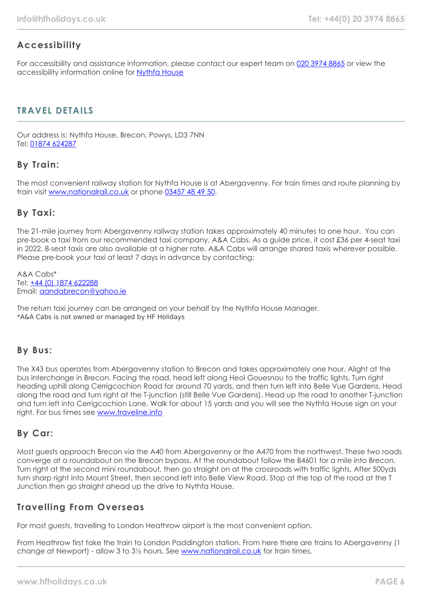# **Accessibility**

For accessibility and assistance information, please contact our expert team on [020 3974 8865](tel:02039748865) or view the accessibility information online for [Nythfa House](https://www.hfholidays.co.uk/images/Documents/accessibility_statements/nythfa-house---accessibility-information---update-feb-2021.pdf)

# **TRAVEL DETAILS**

Our address is: Nythfa House, Brecon, Powys, LD3 7NN Tel: [01874 624287](tel:01874624287)

# **By Train:**

The most convenient railway station for Nythfa House is at Abergavenny. For train times and route planning by train visit [www.nationalrail.co.uk](https://www.nationalrail.co.uk/) or phone [03457 48 49 50](tel:03457484950).

# **By Taxi:**

The 21-mile journey from Abergavenny railway station takes approximately 40 minutes to one hour. You can pre-book a taxi from our recommended taxi company, A&A Cabs. As a guide price, it cost £36 per 4-seat taxi in 2022. 8-seat taxis are also available at a higher rate. A&A Cabs will arrange shared taxis wherever possible. Please pre-book your taxi at least 7 days in advance by contacting:

A&A Cabs\* Tel: [+44 \(0\) 1874 622288](tel:01874622288) Email: [aandabrecon@yahoo.ie](mailto:aandabrecon@yahoo.ie)

The return taxi journey can be arranged on your behalf by the Nythfa House Manager. \*A&A Cabs is not owned or managed by HF Holidays

## **By Bus:**

The X43 bus operates from Abergavenny station to Brecon and takes approximately one hour. Alight at the bus interchange in Brecon. Facing the road, head left along Heol Gouesnou to the traffic lights. Turn right heading uphill along Cerrigcochion Road for around 70 yards, and then turn left into Belle Vue Gardens. Head along the road and turn right at the T-junction (still Belle Vue Gardens). Head up the road to another T-junction and turn left into Cerrigcochion Lane. Walk for about 15 yards and you will see the Nythfa House sign on your right. For bus times see [www.traveline.info](http://www.traveline.info/)

## **By Car:**

Most guests approach Brecon via the A40 from Abergavenny or the A470 from the northwest. These two roads converge at a roundabout on the Brecon bypass. At the roundabout follow the B4601 for a mile into Brecon. Turn right at the second mini roundabout, then go straight on at the crossroads with traffic lights. After 500yds turn sharp right into Mount Street, then second left into Belle View Road. Stop at the top of the road at the T Junction then go straight ahead up the drive to Nythfa House.

## **Travelling From Overseas**

For most guests, travelling to London Heathrow airport is the most convenient option.

From Heathrow first take the train to London Paddington station. From here there are trains to Abergavenny (1 change at Newport) - allow 3 to 3½ hours. See [www.nationalrail.co.uk](https://www.nationalrail.co.uk/) for train times.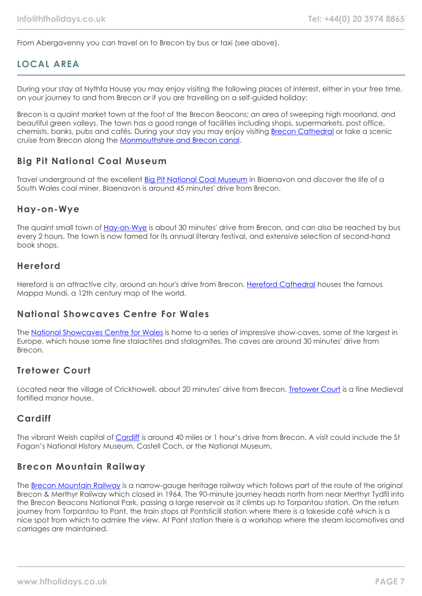From Abergavenny you can travel on to Brecon by bus or taxi (see above).

# **LOCAL AREA**

During your stay at Nythfa House you may enjoy visiting the following places of interest, either in your free time, on your journey to and from Brecon or if you are travelling on a self-guided holiday:

Brecon is a quaint market town at the foot of the Brecon Beacons; an area of sweeping high moorland, and beautiful green valleys. The town has a good range of facilities including shops, supermarkets, post office, chemists, banks, pubs and cafés. During your stay you may enjoy visiting **[Brecon Cathedral](https://swanseaandbrecon.churchinwales.org.uk/en/brecon-cathedral/)** or take a scenic cruise from Brecon along the [Monmouthshire and Brecon canal](https://www.dragonfly-cruises.co.uk/).

## **Big Pit National Coal Museum**

Travel underground at the excellent [Big Pit National Coal Museum](https://museum.wales/bigpit/) in Blaenavon and discover the life of a South Wales coal miner. Blaenavon is around 45 minutes' drive from Brecon.

## **Hay-on-Wye**

The quaint small town of [Hay-on-Wye](http://www.hay-on-wye.co.uk/) is about 30 minutes' drive from Brecon, and can also be reached by bus every 2 hours. The town is now famed for its annual literary festival, and extensive selection of second-hand book shops.

## **Hereford**

Hereford is an attractive city, around an hour's drive from Brecon. [Hereford Cathedral](https://www.herefordcathedral.org/) houses the famous Mappa Mundi, a 12th century map of the world.

## **National Showcaves Centre For Wales**

The [National Showcaves Centre for Wales](https://www.showcaves.co.uk/) is home to a series of impressive show-caves, some of the largest in Europe, which house some fine stalactites and stalagmites. The caves are around 30 minutes' drive from Brecon.

## **Tretower Court**

Located near the village of Crickhowell, about 20 minutes' drive from Brecon, [Tretower Court](https://cadw.gov.wales/visit/places-to-visit/tretower-court-and-castle) is a fine Medieval fortified manor house.

## **Cardiff**

The vibrant Welsh capital of [Cardiff](https://www.visitcardiff.com/) is around 40 miles or 1 hour's drive from Brecon. A visit could include the St Fagan's National History Museum, Castell Coch, or the National Museum.

## **Brecon Mountain Railway**

The [Brecon Mountain Railway](https://www.bmr.wales/) is a narrow-gauge heritage railway which follows part of the route of the original Brecon & Merthyr Railway which closed in 1964. The 90-minute journey heads north from near Merthyr Tydfil into the Brecon Beacons National Park, passing a large reservoir as it climbs up to Torpantau station. On the return journey from Torpantau to Pant, the train stops at Pontsticill station where there is a lakeside café which is a nice spot from which to admire the view. At Pant station there is a workshop where the steam locomotives and carriages are maintained.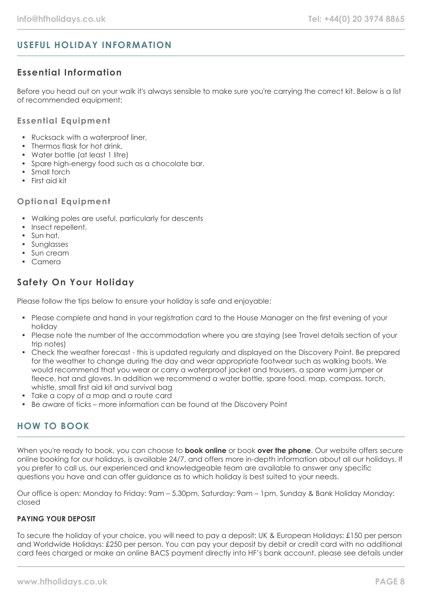# **USEFUL HOLIDAY INFORMATION**

# **Essential Information**

Before you head out on your walk it's always sensible to make sure you're carrying the correct kit. Below is a list of recommended equipment:

#### **Essential Equipment**

- Rucksack with a waterproof liner,
- Thermos flask for hot drink
- Water bottle (at least 1 litre)
- Spare high-energy food such as a chocolate bar.
- Small torch
- First aid kit

#### **Optional Equipment**

- Walking poles are useful, particularly for descents
- Insect repellent,
- Sun hat,
- Sunglasses
- Sun cream
- Camera

# **Safety On Your Holiday**

Please follow the tips below to ensure your holiday is safe and enjoyable:

- Please complete and hand in your registration card to the House Manager on the first evening of your holiday
- Please note the number of the accommodation where you are staying (see Travel details section of your trip notes)
- Check the weather forecast this is updated regularly and displayed on the Discovery Point. Be prepared for the weather to change during the day and wear appropriate footwear such as walking boots. We would recommend that you wear or carry a waterproof jacket and trousers, a spare warm jumper or fleece, hat and gloves. In addition we recommend a water bottle, spare food, map, compass, torch, whistle, small first aid kit and survival bag
- Take a copy of a map and a route card
- Be aware of ticks more information can be found at the Discovery Point

# **HOW TO BOOK**

When you're ready to book, you can choose to **book online** or book **over the phone**. Our website offers secure online booking for our holidays, is available 24/7, and offers more in-depth information about all our holidays. If you prefer to call us, our experienced and knowledgeable team are available to answer any specific questions you have and can offer guidance as to which holiday is best suited to your needs.

Our office is open: Monday to Friday: 9am – 5.30pm, Saturday: 9am – 1pm, Sunday & Bank Holiday Monday: closed

#### **PAYING YOUR DEPOSIT**

To secure the holiday of your choice, you will need to pay a deposit: UK & European Holidays: £150 per person and Worldwide Holidays: £250 per person. You can pay your deposit by debit or credit card with no additional card fees charged or make an online BACS payment directly into HF's bank account, please see details under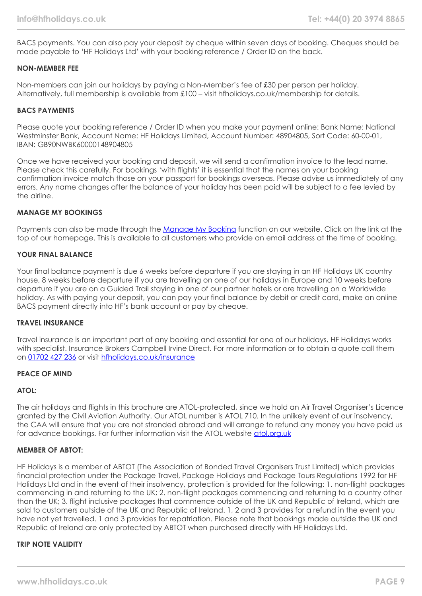BACS payments. You can also pay your deposit by cheque within seven days of booking. Cheques should be made payable to 'HF Holidays Ltd' with your booking reference / Order ID on the back.

#### **NON-MEMBER FEE**

Non-members can join our holidays by paying a Non-Member's fee of £30 per person per holiday. Alternatively, full membership is available from £100 – visit hfholidays.co.uk/membership for details.

#### **BACS PAYMENTS**

Please quote your booking reference / Order ID when you make your payment online: Bank Name: National Westminster Bank, Account Name: HF Holidays Limited, Account Number: 48904805, Sort Code: 60-00-01, IBAN: GB90NWBK60000148904805

Once we have received your booking and deposit, we will send a confirmation invoice to the lead name. Please check this carefully. For bookings 'with flights' it is essential that the names on your booking confirmation invoice match those on your passport for bookings overseas. Please advise us immediately of any errors. Any name changes after the balance of your holiday has been paid will be subject to a fee levied by the airline.

#### **MANAGE MY BOOKINGS**

Payments can also be made through the [Manage My Booking](https://www.hfholidays.co.uk/about-us/bookings/my-booking) function on our website. Click on the link at the top of our homepage. This is available to all customers who provide an email address at the time of booking.

#### **YOUR FINAL BALANCE**

Your final balance payment is due 6 weeks before departure if you are staying in an HF Holidays UK country house, 8 weeks before departure if you are travelling on one of our holidays in Europe and 10 weeks before departure if you are on a Guided Trail staying in one of our partner hotels or are travelling on a Worldwide holiday. As with paying your deposit, you can pay your final balance by debit or credit card, make an online BACS payment directly into HF's bank account or pay by cheque.

#### **TRAVEL INSURANCE**

Travel insurance is an important part of any booking and essential for one of our holidays. HF Holidays works with specialist. Insurance Brokers Campbell Irvine Direct. For more information or to obtain a quote call them on [01702 427 236](tel:01702427236) or visit [hfholidays.co.uk/insurance](https://www.hfholidays.co.uk/about-us/bookings/insurance)

#### **PEACE OF MIND**

#### **ATOL:**

The air holidays and flights in this brochure are ATOL-protected, since we hold an Air Travel Organiser's Licence granted by the Civil Aviation Authority. Our ATOL number is ATOL 710. In the unlikely event of our insolvency, the CAA will ensure that you are not stranded abroad and will arrange to refund any money you have paid us for advance bookings. For further information visit the ATOL website [atol.org.uk](https://www.atol.org/)

#### **MEMBER OF ABTOT:**

HF Holidays is a member of ABTOT (The Association of Bonded Travel Organisers Trust Limited) which provides financial protection under the Package Travel, Package Holidays and Package Tours Regulations 1992 for HF Holidays Ltd and in the event of their insolvency, protection is provided for the following: 1. non-flight packages commencing in and returning to the UK; 2. non-flight packages commencing and returning to a country other than the UK; 3. flight inclusive packages that commence outside of the UK and Republic of Ireland, which are sold to customers outside of the UK and Republic of Ireland. 1, 2 and 3 provides for a refund in the event you have not yet travelled. 1 and 3 provides for repatriation. Please note that bookings made outside the UK and Republic of Ireland are only protected by ABTOT when purchased directly with HF Holidays Ltd.

#### **TRIP NOTE VALIDITY**